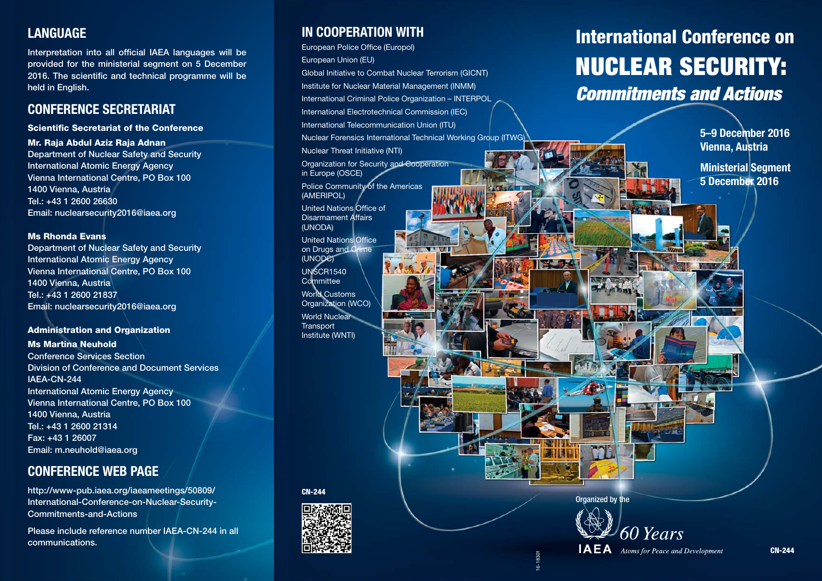## **LANGUAGE**

Interpretation into all official IAEA languages will be **provided for the ministerial segment on 5 December**  2016. The scientific and technical programme will be **held in English.**

## **CONFERENCE SECRETARIAT**

#### **Scientific Secretariat of the Conference**

**Mr. Raja Abdul Aziz Raja Adnan Department of Nuclear Safety and Security International Atomic Energy Agency Vienna International Centre, PO Box 100 1400 Vienna, Austria Tel.: +43 1 2600 26630 Email: nuclearsecurity2016@iaea.org**

#### **Ms Rhonda Evans**

**Department of Nuclear Safety and Security International Atomic Energy Agency Vienna International Centre, PO Box 100 1400 Vienna, Austria Tel.: +43 1 2600 21837 Email: nuclearsecurity2016@iaea.org**

#### **Administration and Organization**

#### **Ms Martina Neuhold**

**Conference Services Section Division of Conference and Document Services IAEA-CN-244 International Atomic Energy Agency Vienna International Centre, PO Box 100 1400 Vienna, Austria Tel.: +43 1 2600 21314 Fax: +43 1 26007 Email: m.neuhold@iaea.org**

## **CONFERENCE WEB PAGE**

**http://www-pub.iaea.org/iaeameetings/50809/ International-Conference-on-Nuclear-Security-Commitments-and-Actions**

**Please include reference number IAEA-CN-244 in all communications.**

# **IN COOPERATION WITH**

European Police Office (Europol) European Union (EU) Global Initiative to Combat Nuclear Terrorism (GICNT) Institute for Nuclear Material Management (INMM) International Criminal Police Organization – INTERPOL International Electrotechnical Commission (IEC) International Telecommunication Union (ITU) Nuclear Forensics International Technical Working Group (ITWG) Nuclear Threat Initiative (NTI) Organization for Security and Cooperation in Europe (OSCE) Police Community of the Americas (AMERIPOL) United Nations Office of Disarmament Affairs (UNODA) **United Nations Office** on Drugs and Crime (UNODC) UNSCR1540 **Committee** World Customs Organization (WCO) World Nuclear **Transport** Institute (WNTI)

**CN-244**

# **NUCLEAR SECURITY:** *Commitments and Actions* **International Conference on**

**5–9 December 2016 Vienna, Austria**

**Ministerial Segment 5 December 2016**



16-18301